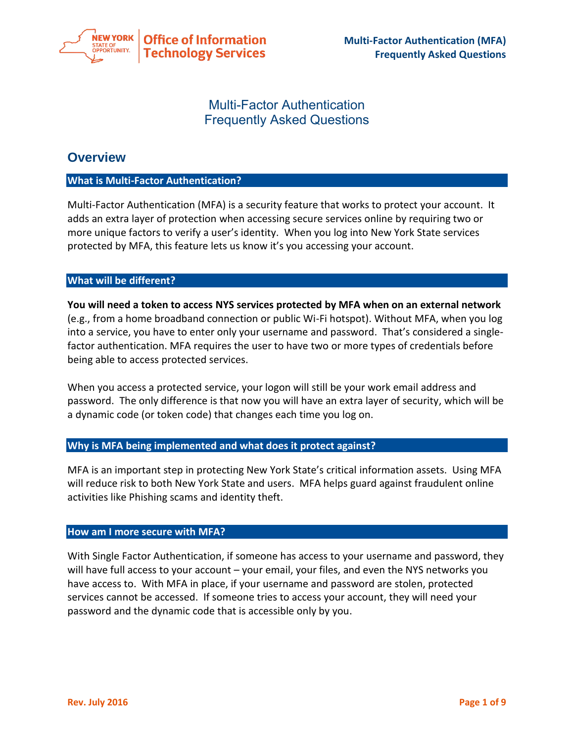

# Multi-Factor Authentication Frequently Asked Questions

# **Overview**

# **What is Multi-Factor Authentication?**

Multi-Factor Authentication (MFA) is a security feature that works to protect your account. It adds an extra layer of protection when accessing secure services online by requiring two or more unique factors to verify a user's identity. When you log into New York State services protected by MFA, this feature lets us know it's you accessing your account.

## **What will be different?**

**You will need a token to access NYS services protected by MFA when on an external network**  (e.g., from a home broadband connection or public Wi-Fi hotspot). Without MFA, when you log into a service, you have to enter only your username and password. That's considered a singlefactor authentication. MFA requires the user to have two or more types of credentials before being able to access protected services.

When you access a protected service, your logon will still be your work email address and password. The only difference is that now you will have an extra layer of security, which will be a dynamic code (or token code) that changes each time you log on.

# **Why is MFA being implemented and what does it protect against?**

MFA is an important step in protecting New York State's critical information assets. Using MFA will reduce risk to both New York State and users. MFA helps guard against fraudulent online activities like Phishing scams and identity theft.

### **How am I more secure with MFA?**

With Single Factor Authentication, if someone has access to your username and password, they will have full access to your account – your email, your files, and even the NYS networks you have access to. With MFA in place, if your username and password are stolen, protected services cannot be accessed. If someone tries to access your account, they will need your password and the dynamic code that is accessible only by you.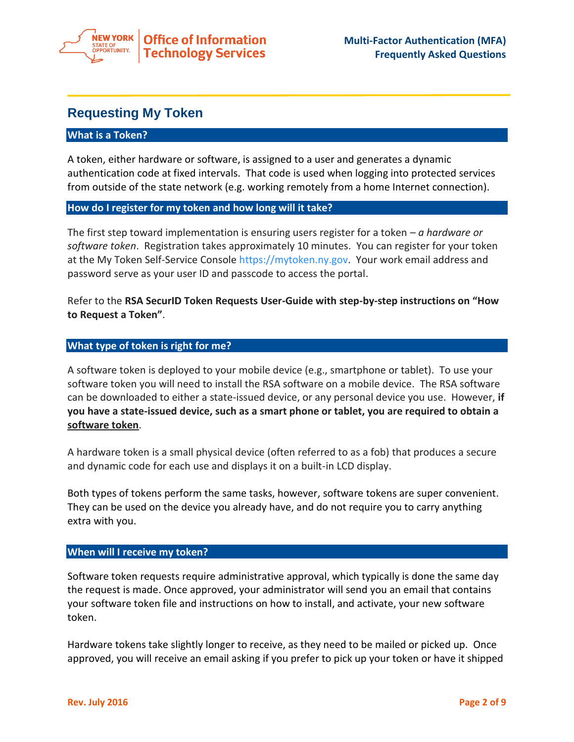

# **Requesting My Token**

## **What is a Token?**

A token, either hardware or software, is assigned to a user and generates a dynamic authentication code at fixed intervals. That code is used when logging into protected services from outside of the state network (e.g. working remotely from a home Internet connection).

## **How do I register for my token and how long will it take?**

The first step toward implementation is ensuring users register for a token – *a hardware or software token*. Registration takes approximately 10 minutes. You can register for your token at the My Token Self-Service Console [https://mytoken.ny.gov.](https://mytoken.ny.gov/) Your work email address and password serve as your user ID and passcode to access the portal.

Refer to the **RSA SecurID Token Requests User-Guide with step-by-step instructions on "How to Request a Token"**.

## **What type of token is right for me?**

A software token is deployed to your mobile device (e.g., smartphone or tablet). To use your software token you will need to install the RSA software on a mobile device. The RSA software can be downloaded to either a state-issued device, or any personal device you use. However, **if you have a state-issued device, such as a smart phone or tablet, you are required to obtain a software token**.

A hardware token is a small physical device (often referred to as a fob) that produces a secure and dynamic code for each use and displays it on a built-in LCD display.

Both types of tokens perform the same tasks, however, software tokens are super convenient. They can be used on the device you already have, and do not require you to carry anything extra with you.

### **When will I receive my token?**

Software token requests require administrative approval, which typically is done the same day the request is made. Once approved, your administrator will send you an email that contains your software token file and instructions on how to install, and activate, your new software token.

Hardware tokens take slightly longer to receive, as they need to be mailed or picked up. Once approved, you will receive an email asking if you prefer to pick up your token or have it shipped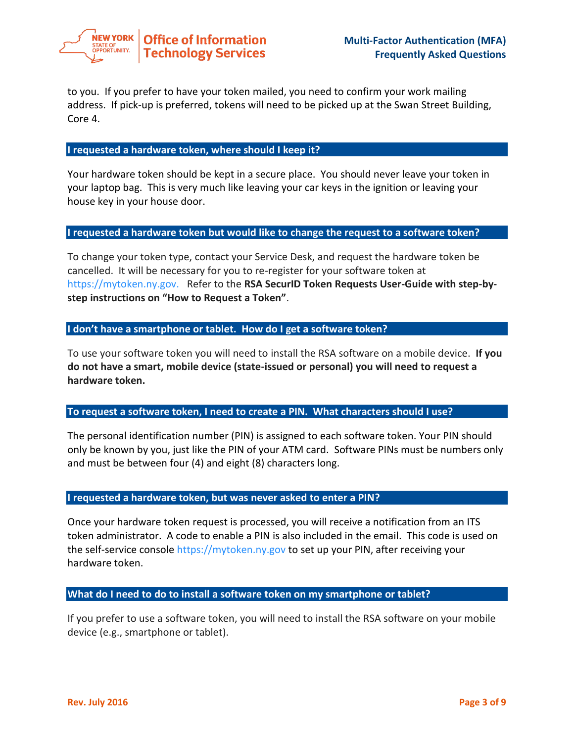

to you. If you prefer to have your token mailed, you need to confirm your work mailing address. If pick-up is preferred, tokens will need to be picked up at the Swan Street Building, Core 4.

### **I requested a hardware token, where should I keep it?**

Your hardware token should be kept in a secure place. You should never leave your token in your laptop bag. This is very much like leaving your car keys in the ignition or leaving your house key in your house door.

# **I requested a hardware token but would like to change the request to a software token?**

To change your token type, contact your Service Desk, and request the hardware token be cancelled. It will be necessary for you to re-register for your software token at [https://mytoken.ny.gov.](https://mytoken.ny.gov/) Refer to the **RSA SecurID Token Requests User-Guide with step-bystep instructions on "How to Request a Token"**.

## **I don't have a smartphone or tablet. How do I get a software token?**

To use your software token you will need to install the RSA software on a mobile device. **If you do not have a smart, mobile device (state-issued or personal) you will need to request a hardware token.**

# **To request a software token, I need to create a PIN. What characters should I use?**

The personal identification number (PIN) is assigned to each software token. Your PIN should only be known by you, just like the PIN of your ATM card. Software PINs must be numbers only and must be between four (4) and eight (8) characters long.

### **I requested a hardware token, but was never asked to enter a PIN?**

Once your hardware token request is processed, you will receive a notification from an ITS token administrator. A code to enable a PIN is also included in the email. This code is used on the self-service consol[e https://mytoken.ny.gov](https://mytoken.ny.gov/) to set up your PIN, after receiving your hardware token.

### **What do I need to do to install a software token on my smartphone or tablet?**

If you prefer to use a software token, you will need to install the RSA software on your mobile device (e.g., smartphone or tablet).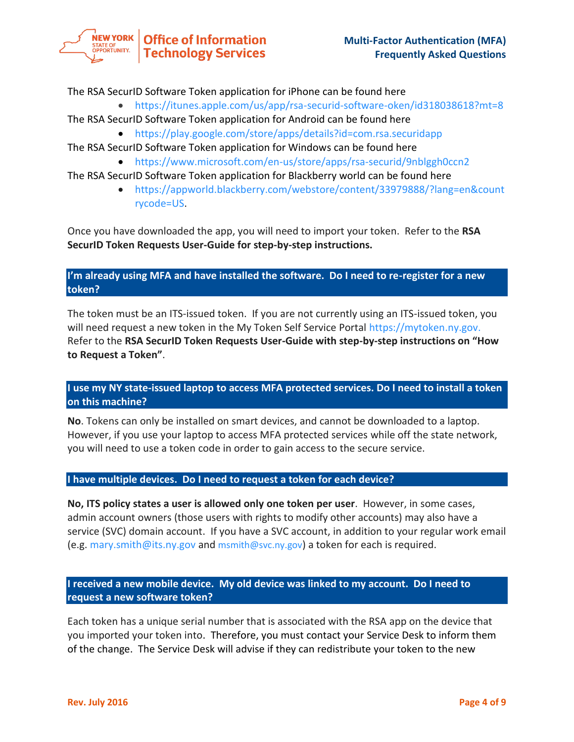

The RSA SecurID Software Token application for iPhone can be found here

 <https://itunes.apple.com/us/app/rsa-securid-software-oken/id318038618?mt=8> The RSA SecurID Software Token application for Android can be found here

- <https://play.google.com/store/apps/details?id=com.rsa.securidapp>
- The RSA SecurID Software Token application for Windows can be found here
	- <https://www.microsoft.com/en-us/store/apps/rsa-securid/9nblggh0ccn2>

The RSA SecurID Software Token application for Blackberry world can be found here

 [https://appworld.blackberry.com/webstore/content/33979888/?lang=en&count](https://appworld.blackberry.com/webstore/content/33979888/?lang=en&countrycode=US) [rycode=US.](https://appworld.blackberry.com/webstore/content/33979888/?lang=en&countrycode=US)

Once you have downloaded the app, you will need to import your token. Refer to the **RSA SecurID Token Requests User-Guide for step-by-step instructions.** 

# **I'm already using MFA and have installed the software. Do I need to re-register for a new token?**

The token must be an ITS-issued token. If you are not currently using an ITS-issued token, you will need request a new token in the My Token Self Service Portal [https://mytoken.ny.gov.](https://mytoken.ny.gov/) Refer to the **RSA SecurID Token Requests User-Guide with step-by-step instructions on "How to Request a Token"**.

# **I use my NY state-issued laptop to access MFA protected services. Do I need to install a token on this machine?**

**No**. Tokens can only be installed on smart devices, and cannot be downloaded to a laptop. However, if you use your laptop to access MFA protected services while off the state network, you will need to use a token code in order to gain access to the secure service.

# **I have multiple devices. Do I need to request a token for each device?**

**No, ITS policy states a user is allowed only one token per user**. However, in some cases, admin account owners (those users with rights to modify other accounts) may also have a service (SVC) domain account. If you have a SVC account, in addition to your regular work email (e.g. [mary.smith@its.ny.gov](mailto:mary.smith@its.ny.gov) and [msmith@svc.ny.gov](mailto:msmith@svc.ny.gov)) a token for each is required.

# **I received a new mobile device. My old device was linked to my account. Do I need to request a new software token?**

Each token has a unique serial number that is associated with the RSA app on the device that you imported your token into. Therefore, you must contact your Service Desk to inform them of the change. The Service Desk will advise if they can redistribute your token to the new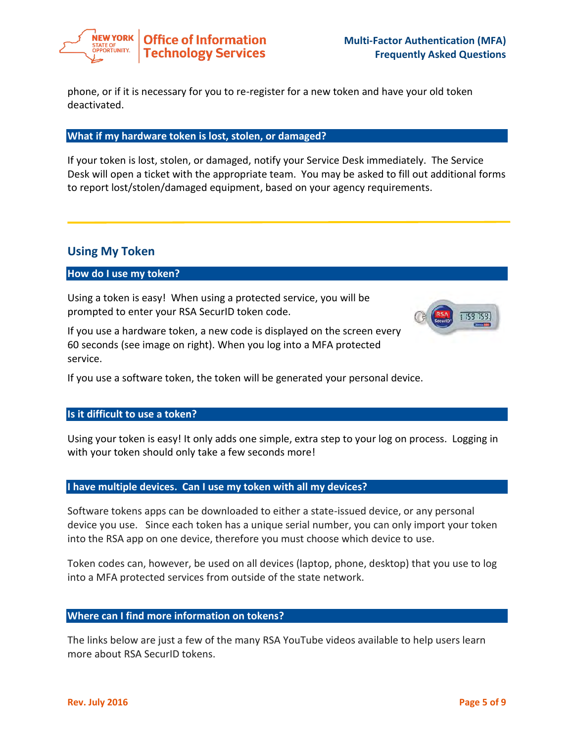

phone, or if it is necessary for you to re-register for a new token and have your old token deactivated.

### **What if my hardware token is lost, stolen, or damaged?**

If your token is lost, stolen, or damaged, notify your Service Desk immediately. The Service Desk will open a ticket with the appropriate team. You may be asked to fill out additional forms to report lost/stolen/damaged equipment, based on your agency requirements.

# **Using My Token**

## **How do I use my token?**

Using a token is easy! When using a protected service, you will be prompted to enter your RSA SecurID token code.

If you use a hardware token, a new code is displayed on the screen every 60 seconds (see image on right). When you log into a MFA protected service.



### **Is it difficult to use a token?**

Using your token is easy! It only adds one simple, extra step to your log on process. Logging in with your token should only take a few seconds more!

### **I have multiple devices. Can I use my token with all my devices?**

Software tokens apps can be downloaded to either a state-issued device, or any personal device you use. Since each token has a unique serial number, you can only import your token into the RSA app on one device, therefore you must choose which device to use.

Token codes can, however, be used on all devices (laptop, phone, desktop) that you use to log into a MFA protected services from outside of the state network.

### **Where can I find more information on tokens?**

The links below are just a few of the many RSA YouTube videos available to help users learn more about RSA SecurID tokens.

1 /59 759.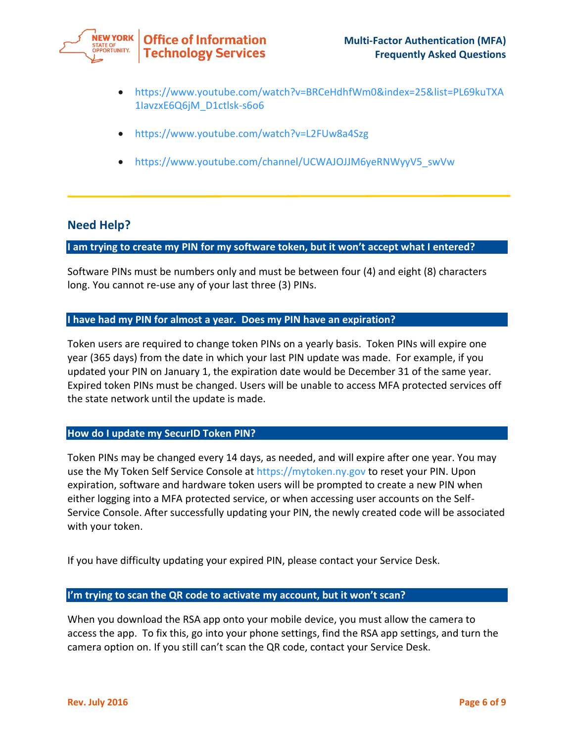

- [https://www.youtube.com/watch?v=BRCeHdhfWm0&index=25&list=PL69kuTXA](https://www.youtube.com/watch?v=BRCeHdhfWm0&index=25&list=PL69kuTXA1IavzxE6Q6jM_D1ctlsk-s6o6) [1IavzxE6Q6jM\\_D1ctlsk-s6o6](https://www.youtube.com/watch?v=BRCeHdhfWm0&index=25&list=PL69kuTXA1IavzxE6Q6jM_D1ctlsk-s6o6)
- <https://www.youtube.com/watch?v=L2FUw8a4Szg>
- [https://www.youtube.com/channel/UCWAJOJJM6yeRNWyyV5\\_swVw](https://www.youtube.com/channel/UCWAJOJJM6yeRNWyyV5_swVw)

# **Need Help?**

# **I am trying to create my PIN for my software token, but it won't accept what I entered?**

Software PINs must be numbers only and must be between four (4) and eight (8) characters long. You cannot re-use any of your last three (3) PINs.

# **I have had my PIN for almost a year. Does my PIN have an expiration?**

Token users are required to change token PINs on a yearly basis. Token PINs will expire one year (365 days) from the date in which your last PIN update was made. For example, if you updated your PIN on January 1, the expiration date would be December 31 of the same year. Expired token PINs must be changed. Users will be unable to access MFA protected services off the state network until the update is made.

# **How do I update my SecurID Token PIN?**

Token PINs may be changed every 14 days, as needed, and will expire after one year. You may use the My Token Self Service Console at [https://mytoken.ny.gov](https://mytoken.ny.gov/) to reset your PIN. Upon expiration, software and hardware token users will be prompted to create a new PIN when either logging into a MFA protected service, or when accessing user accounts on the Self-Service Console. After successfully updating your PIN, the newly created code will be associated with your token.

If you have difficulty updating your expired PIN, please contact your Service Desk.

### **I'm trying to scan the QR code to activate my account, but it won't scan?**

When you download the RSA app onto your mobile device, you must allow the camera to access the app. To fix this, go into your phone settings, find the RSA app settings, and turn the camera option on. If you still can't scan the QR code, contact your Service Desk.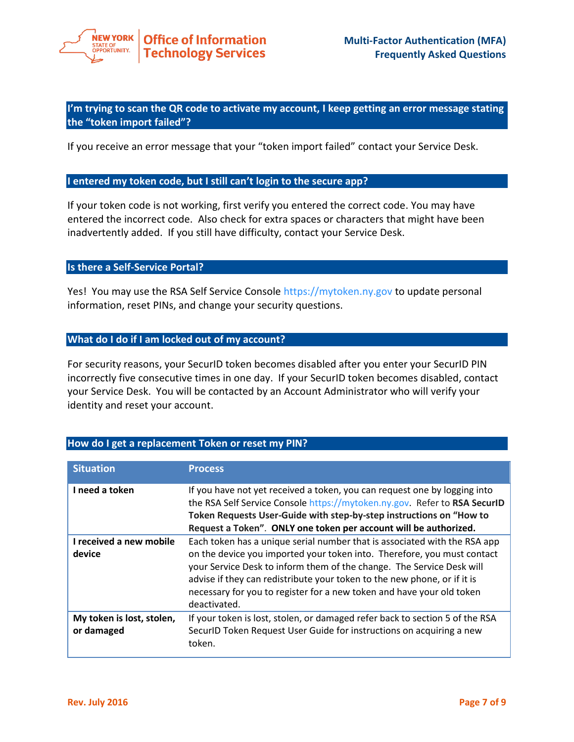

**I'm trying to scan the QR code to activate my account, I keep getting an error message stating the "token import failed"?**

If you receive an error message that your "token import failed" contact your Service Desk.

#### **I entered my token code, but I still can't login to the secure app?**

If your token code is not working, first verify you entered the correct code. You may have entered the incorrect code. Also check for extra spaces or characters that might have been inadvertently added. If you still have difficulty, contact your Service Desk.

#### **Is there a Self-Service Portal?**

Yes! You may use the RSA Self Service Console [https://mytoken.ny.gov](https://mytoken.ny.gov/) to update personal information, reset PINs, and change your security questions.

## **What do I do if I am locked out of my account?**

For security reasons, your SecurID token becomes disabled after you enter your SecurID PIN incorrectly five consecutive times in one day. If your SecurID token becomes disabled, contact your Service Desk. You will be contacted by an Account Administrator who will verify your identity and reset your account.

| <b>Situation</b>                        | <b>Process</b>                                                                                                                                                                                                                                                                                                                                                                                     |
|-----------------------------------------|----------------------------------------------------------------------------------------------------------------------------------------------------------------------------------------------------------------------------------------------------------------------------------------------------------------------------------------------------------------------------------------------------|
| I need a token                          | If you have not yet received a token, you can request one by logging into<br>the RSA Self Service Console https://mytoken.ny.gov. Refer to RSA SecurID<br>Token Requests User-Guide with step-by-step instructions on "How to<br>Request a Token". ONLY one token per account will be authorized.                                                                                                  |
| I received a new mobile<br>device       | Each token has a unique serial number that is associated with the RSA app<br>on the device you imported your token into. Therefore, you must contact<br>your Service Desk to inform them of the change. The Service Desk will<br>advise if they can redistribute your token to the new phone, or if it is<br>necessary for you to register for a new token and have your old token<br>deactivated. |
| My token is lost, stolen,<br>or damaged | If your token is lost, stolen, or damaged refer back to section 5 of the RSA<br>SecurID Token Request User Guide for instructions on acquiring a new<br>token.                                                                                                                                                                                                                                     |

## **How do I get a replacement Token or reset my PIN?**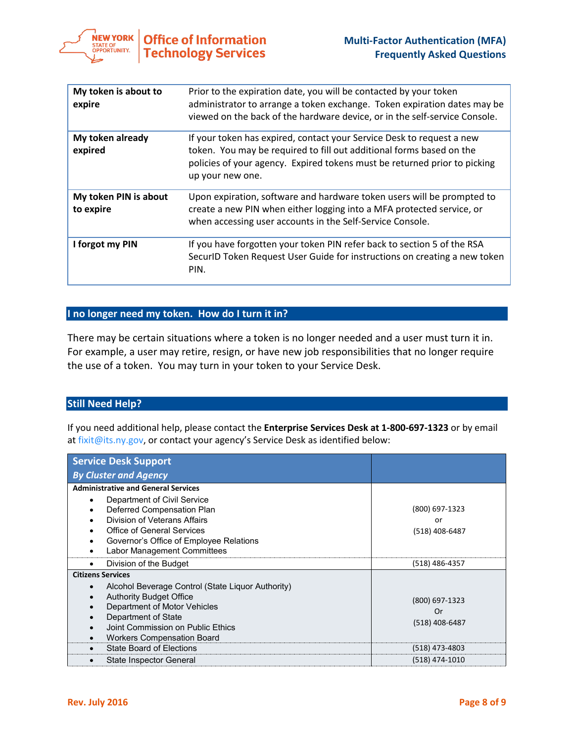

| My token is about to<br>expire     | Prior to the expiration date, you will be contacted by your token<br>administrator to arrange a token exchange. Token expiration dates may be<br>viewed on the back of the hardware device, or in the self-service Console.                    |
|------------------------------------|------------------------------------------------------------------------------------------------------------------------------------------------------------------------------------------------------------------------------------------------|
| My token already<br>expired        | If your token has expired, contact your Service Desk to request a new<br>token. You may be required to fill out additional forms based on the<br>policies of your agency. Expired tokens must be returned prior to picking<br>up your new one. |
| My token PIN is about<br>to expire | Upon expiration, software and hardware token users will be prompted to<br>create a new PIN when either logging into a MFA protected service, or<br>when accessing user accounts in the Self-Service Console.                                   |
| I forgot my PIN                    | If you have forgotten your token PIN refer back to section 5 of the RSA<br>SecurlD Token Request User Guide for instructions on creating a new token<br>PIN.                                                                                   |

# **I no longer need my token. How do I turn it in?**

There may be certain situations where a token is no longer needed and a user must turn it in. For example, a user may retire, resign, or have new job responsibilities that no longer require the use of a token. You may turn in your token to your Service Desk.

## **Still Need Help?**

If you need additional help, please contact the **Enterprise Services Desk at 1-800-697-1323** or by email a[t fixit@its.ny.gov,](mailto:fixit@its.ny.gov) or contact your agency's Service Desk as identified below:

| <b>Service Desk Support</b>                                                                                                                                                                                 |                                        |
|-------------------------------------------------------------------------------------------------------------------------------------------------------------------------------------------------------------|----------------------------------------|
| <b>By Cluster and Agency</b>                                                                                                                                                                                |                                        |
| <b>Administrative and General Services</b><br>Department of Civil Service<br>Deferred Compensation Plan<br>٠<br>Division of Veterans Affairs<br>Office of General Services                                  | (800) 697-1323<br>or<br>(518) 408-6487 |
| Governor's Office of Employee Relations<br>Labor Management Committees<br>Division of the Budget<br>٠                                                                                                       | (518) 486-4357                         |
| <b>Citizens Services</b><br>Alcohol Beverage Control (State Liquor Authority)<br><b>Authority Budget Office</b><br>Department of Motor Vehicles<br>Department of State<br>Joint Commission on Public Ethics | (800) 697-1323<br>Or<br>(518) 408-6487 |
| <b>Workers Compensation Board</b><br>State Board of Elections<br>State Inspector General                                                                                                                    | (518) 473-4803<br>(518) 474-1010       |